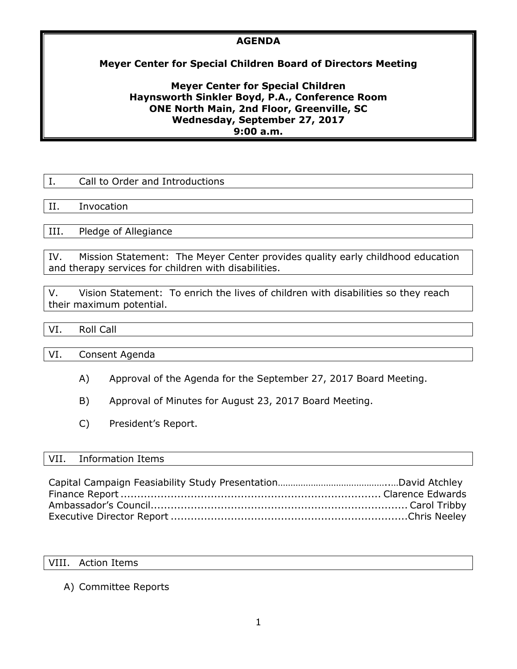# **AGENDA**

# **Meyer Center for Special Children Board of Directors Meeting**

## **Meyer Center for Special Children Haynsworth Sinkler Boyd, P.A., Conference Room ONE North Main, 2nd Floor, Greenville, SC Wednesday, September 27, 2017 9:00 a.m.**

|      | Call to Order and Introductions |
|------|---------------------------------|
|      |                                 |
| H.   | Invocation                      |
|      |                                 |
| III. | Pledge of Allegiance            |
|      |                                 |

IV. Mission Statement: The Meyer Center provides quality early childhood education and therapy services for children with disabilities.

V. Vision Statement: To enrich the lives of children with disabilities so they reach their maximum potential.

# VI. Roll Call

VI. Consent Agenda

- A) Approval of the Agenda for the September 27, 2017 Board Meeting.
- B) Approval of Minutes for August 23, 2017 Board Meeting.
- C) President's Report.

## VII. Information Items

### VIII. Action Items

# A) Committee Reports